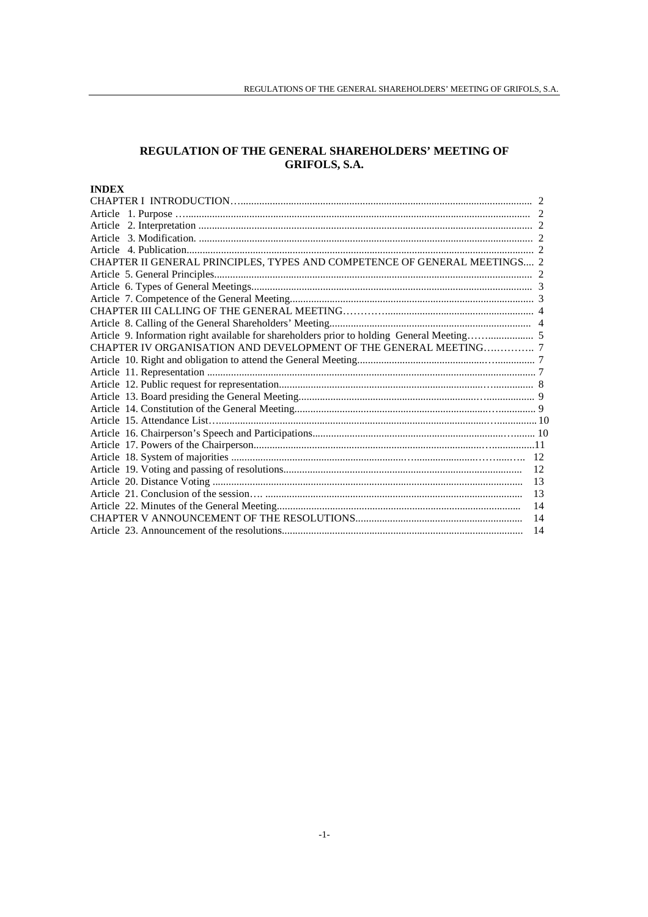# **REGULATION OF THE GENERAL SHAREHOLDERS' MEETING OF GRIFOLS, S.A.**

# **INDEX**

| CHAPTER II GENERAL PRINCIPLES, TYPES AND COMPETENCE OF GENERAL MEETINGS 2                  |    |
|--------------------------------------------------------------------------------------------|----|
|                                                                                            |    |
|                                                                                            |    |
|                                                                                            |    |
|                                                                                            |    |
|                                                                                            |    |
| Article 9. Information right available for shareholders prior to holding General Meeting 5 |    |
| CHAPTER IV ORGANISATION AND DEVELOPMENT OF THE GENERAL MEETING 7                           |    |
|                                                                                            |    |
|                                                                                            |    |
|                                                                                            |    |
|                                                                                            |    |
|                                                                                            |    |
|                                                                                            |    |
|                                                                                            |    |
|                                                                                            |    |
|                                                                                            |    |
|                                                                                            | 12 |
|                                                                                            | 13 |
|                                                                                            | 13 |
|                                                                                            | 14 |
|                                                                                            | 14 |
|                                                                                            | 14 |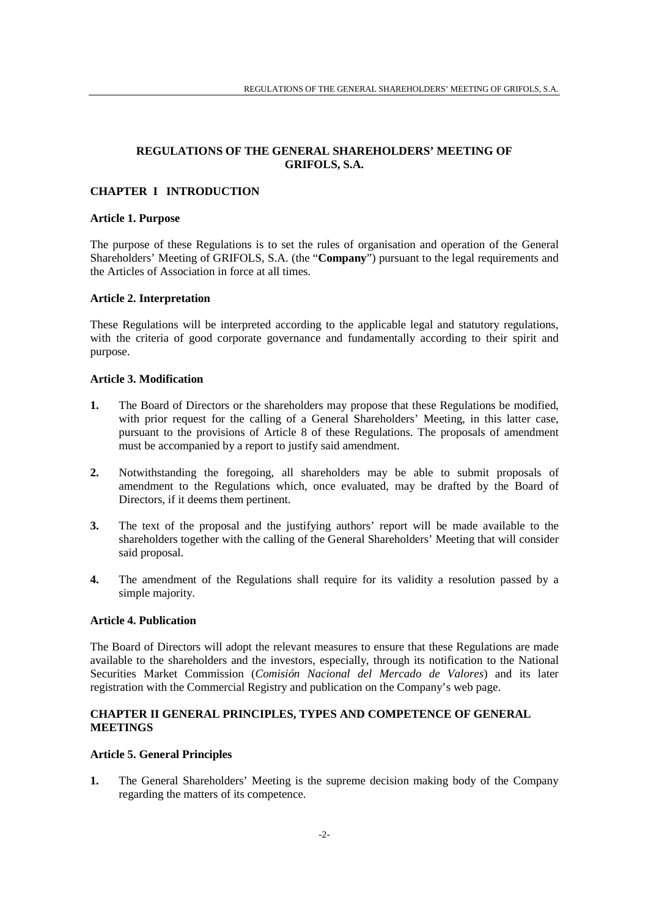# **REGULATIONS OF THE GENERAL SHAREHOLDERS' MEETING OF GRIFOLS, S.A.**

# **CHAPTER I INTRODUCTION**

#### **Article 1. Purpose**

The purpose of these Regulations is to set the rules of organisation and operation of the General Shareholders' Meeting of GRIFOLS, S.A. (the "**Company**") pursuant to the legal requirements and the Articles of Association in force at all times.

### **Article 2. Interpretation**

These Regulations will be interpreted according to the applicable legal and statutory regulations, with the criteria of good corporate governance and fundamentally according to their spirit and purpose.

### **Article 3. Modification**

- **1.** The Board of Directors or the shareholders may propose that these Regulations be modified, with prior request for the calling of a General Shareholders' Meeting, in this latter case, pursuant to the provisions of Article 8 of these Regulations. The proposals of amendment must be accompanied by a report to justify said amendment.
- **2.** Notwithstanding the foregoing, all shareholders may be able to submit proposals of amendment to the Regulations which, once evaluated, may be drafted by the Board of Directors, if it deems them pertinent.
- **3.** The text of the proposal and the justifying authors' report will be made available to the shareholders together with the calling of the General Shareholders' Meeting that will consider said proposal.
- **4.** The amendment of the Regulations shall require for its validity a resolution passed by a simple majority.

### **Article 4. Publication**

The Board of Directors will adopt the relevant measures to ensure that these Regulations are made available to the shareholders and the investors, especially, through its notification to the National Securities Market Commission (*Comisión Nacional del Mercado de Valores*) and its later registration with the Commercial Registry and publication on the Company's web page.

# **CHAPTER II GENERAL PRINCIPLES, TYPES AND COMPETENCE OF GENERAL MEETINGS**

### **Article 5. General Principles**

**1.** The General Shareholders' Meeting is the supreme decision making body of the Company regarding the matters of its competence.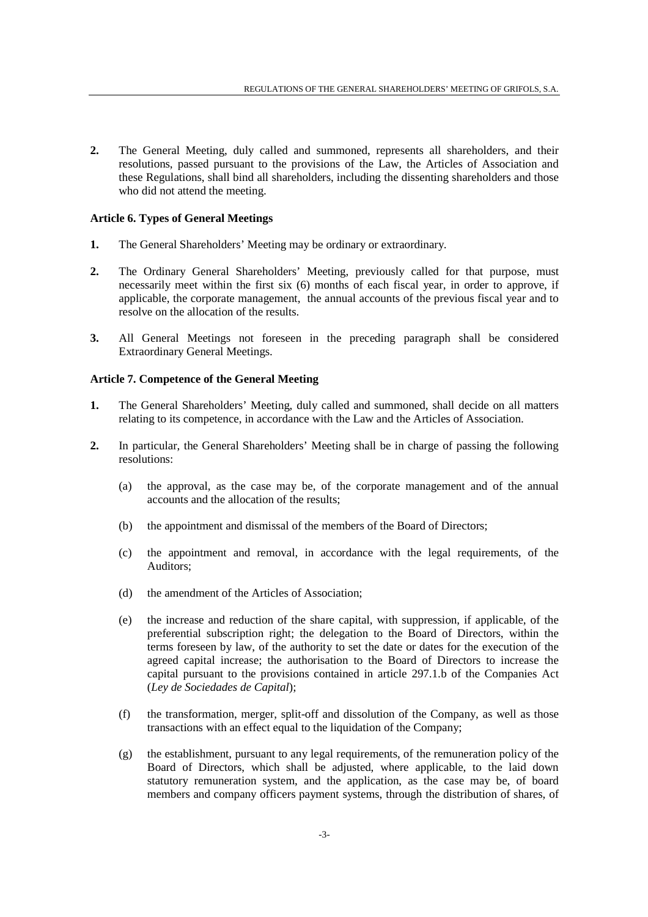**2.** The General Meeting, duly called and summoned, represents all shareholders, and their resolutions, passed pursuant to the provisions of the Law, the Articles of Association and these Regulations, shall bind all shareholders, including the dissenting shareholders and those who did not attend the meeting.

### **Article 6. Types of General Meetings**

- **1.** The General Shareholders' Meeting may be ordinary or extraordinary.
- **2.** The Ordinary General Shareholders' Meeting, previously called for that purpose, must necessarily meet within the first six (6) months of each fiscal year, in order to approve, if applicable, the corporate management, the annual accounts of the previous fiscal year and to resolve on the allocation of the results.
- **3.** All General Meetings not foreseen in the preceding paragraph shall be considered Extraordinary General Meetings.

#### **Article 7. Competence of the General Meeting**

- **1.** The General Shareholders' Meeting, duly called and summoned, shall decide on all matters relating to its competence, in accordance with the Law and the Articles of Association.
- **2.** In particular, the General Shareholders' Meeting shall be in charge of passing the following resolutions:
	- (a) the approval, as the case may be, of the corporate management and of the annual accounts and the allocation of the results;
	- (b) the appointment and dismissal of the members of the Board of Directors;
	- (c) the appointment and removal, in accordance with the legal requirements, of the Auditors;
	- (d) the amendment of the Articles of Association;
	- (e) the increase and reduction of the share capital, with suppression, if applicable, of the preferential subscription right; the delegation to the Board of Directors, within the terms foreseen by law, of the authority to set the date or dates for the execution of the agreed capital increase; the authorisation to the Board of Directors to increase the capital pursuant to the provisions contained in article 297.1.b of the Companies Act (*Ley de Sociedades de Capital*);
	- (f) the transformation, merger, split-off and dissolution of the Company, as well as those transactions with an effect equal to the liquidation of the Company;
	- (g) the establishment, pursuant to any legal requirements, of the remuneration policy of the Board of Directors, which shall be adjusted, where applicable, to the laid down statutory remuneration system, and the application, as the case may be, of board members and company officers payment systems, through the distribution of shares, of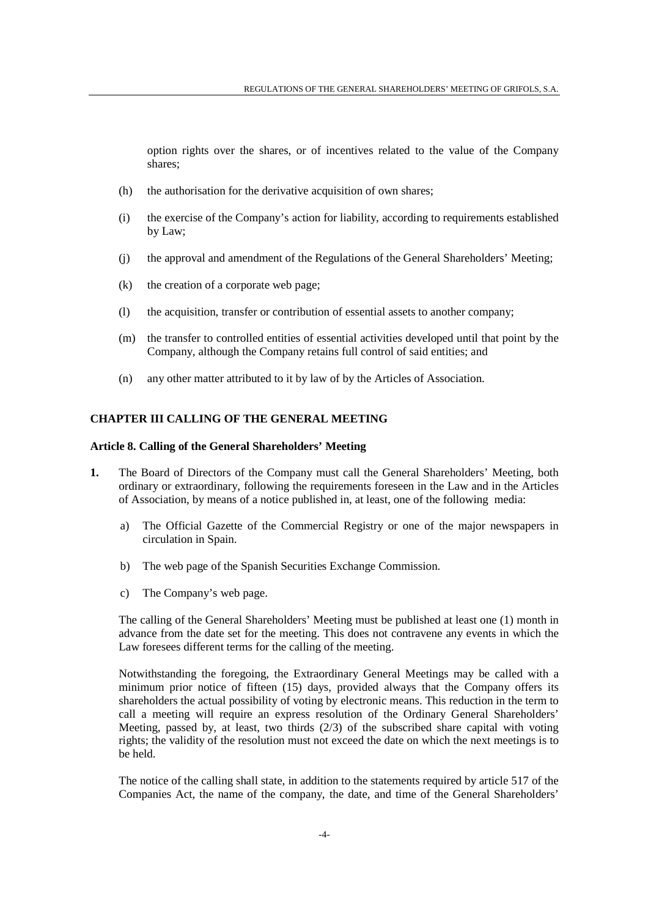option rights over the shares, or of incentives related to the value of the Company shares;

- (h) the authorisation for the derivative acquisition of own shares;
- (i) the exercise of the Company's action for liability, according to requirements established by Law;
- (j) the approval and amendment of the Regulations of the General Shareholders' Meeting;
- (k) the creation of a corporate web page;
- (l) the acquisition, transfer or contribution of essential assets to another company;
- (m) the transfer to controlled entities of essential activities developed until that point by the Company, although the Company retains full control of said entities; and
- (n) any other matter attributed to it by law of by the Articles of Association.

#### **CHAPTER III CALLING OF THE GENERAL MEETING**

#### **Article 8. Calling of the General Shareholders' Meeting**

- **1.** The Board of Directors of the Company must call the General Shareholders' Meeting, both ordinary or extraordinary, following the requirements foreseen in the Law and in the Articles of Association, by means of a notice published in, at least, one of the following media:
	- a) The Official Gazette of the Commercial Registry or one of the major newspapers in circulation in Spain.
	- b) The web page of the Spanish Securities Exchange Commission.
	- c) The Company's web page.

The calling of the General Shareholders' Meeting must be published at least one (1) month in advance from the date set for the meeting. This does not contravene any events in which the Law foresees different terms for the calling of the meeting.

Notwithstanding the foregoing, the Extraordinary General Meetings may be called with a minimum prior notice of fifteen (15) days, provided always that the Company offers its shareholders the actual possibility of voting by electronic means. This reduction in the term to call a meeting will require an express resolution of the Ordinary General Shareholders' Meeting, passed by, at least, two thirds (2/3) of the subscribed share capital with voting rights; the validity of the resolution must not exceed the date on which the next meetings is to be held.

 The notice of the calling shall state, in addition to the statements required by article 517 of the Companies Act, the name of the company, the date, and time of the General Shareholders'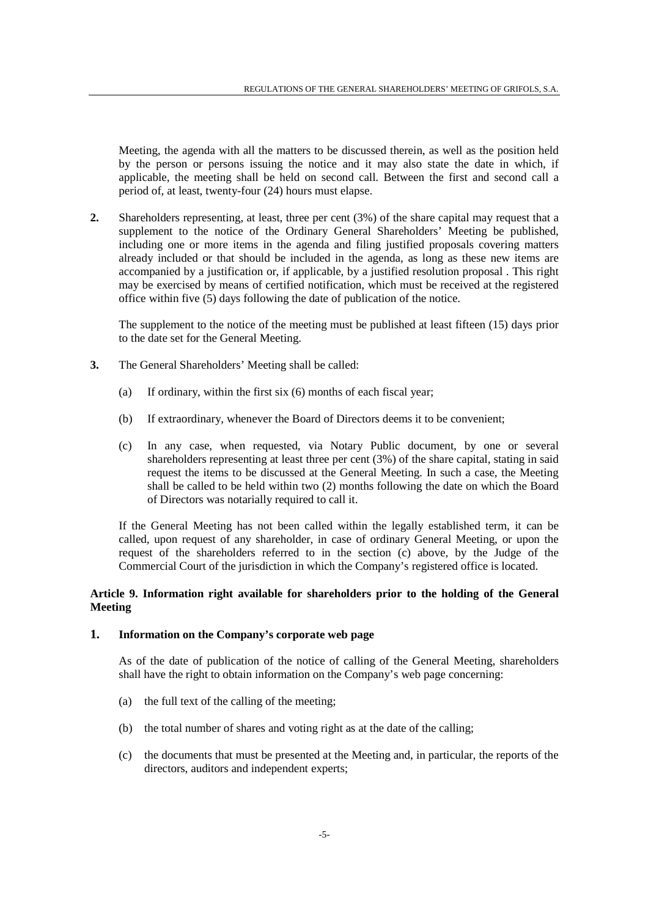Meeting, the agenda with all the matters to be discussed therein, as well as the position held by the person or persons issuing the notice and it may also state the date in which, if applicable, the meeting shall be held on second call. Between the first and second call a period of, at least, twenty-four (24) hours must elapse.

**2.** Shareholders representing, at least, three per cent (3%) of the share capital may request that a supplement to the notice of the Ordinary General Shareholders' Meeting be published, including one or more items in the agenda and filing justified proposals covering matters already included or that should be included in the agenda, as long as these new items are accompanied by a justification or, if applicable, by a justified resolution proposal . This right may be exercised by means of certified notification, which must be received at the registered office within five (5) days following the date of publication of the notice.

 The supplement to the notice of the meeting must be published at least fifteen (15) days prior to the date set for the General Meeting.

- **3.** The General Shareholders' Meeting shall be called:
	- (a) If ordinary, within the first six (6) months of each fiscal year;
	- (b) If extraordinary, whenever the Board of Directors deems it to be convenient;
	- (c) In any case, when requested, via Notary Public document, by one or several shareholders representing at least three per cent (3%) of the share capital, stating in said request the items to be discussed at the General Meeting. In such a case, the Meeting shall be called to be held within two (2) months following the date on which the Board of Directors was notarially required to call it.

If the General Meeting has not been called within the legally established term, it can be called, upon request of any shareholder, in case of ordinary General Meeting, or upon the request of the shareholders referred to in the section (c) above, by the Judge of the Commercial Court of the jurisdiction in which the Company's registered office is located.

### **Article 9. Information right available for shareholders prior to the holding of the General Meeting**

# **1. Information on the Company's corporate web page**

As of the date of publication of the notice of calling of the General Meeting, shareholders shall have the right to obtain information on the Company's web page concerning:

- (a) the full text of the calling of the meeting;
- (b) the total number of shares and voting right as at the date of the calling;
- (c) the documents that must be presented at the Meeting and, in particular, the reports of the directors, auditors and independent experts;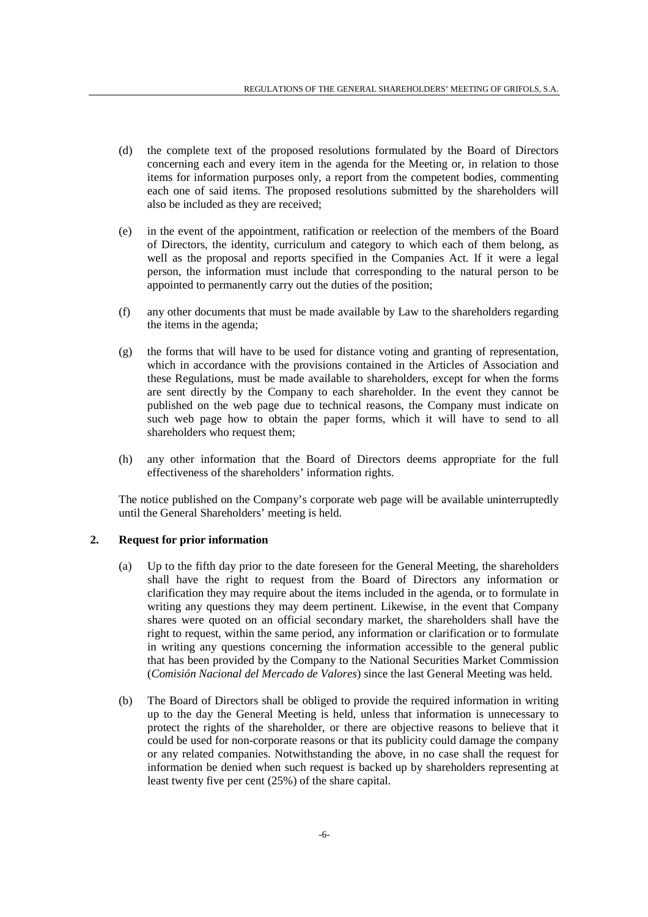- (d) the complete text of the proposed resolutions formulated by the Board of Directors concerning each and every item in the agenda for the Meeting or, in relation to those items for information purposes only, a report from the competent bodies, commenting each one of said items. The proposed resolutions submitted by the shareholders will also be included as they are received;
- (e) in the event of the appointment, ratification or reelection of the members of the Board of Directors, the identity, curriculum and category to which each of them belong, as well as the proposal and reports specified in the Companies Act. If it were a legal person, the information must include that corresponding to the natural person to be appointed to permanently carry out the duties of the position;
- (f) any other documents that must be made available by Law to the shareholders regarding the items in the agenda;
- (g) the forms that will have to be used for distance voting and granting of representation, which in accordance with the provisions contained in the Articles of Association and these Regulations, must be made available to shareholders, except for when the forms are sent directly by the Company to each shareholder. In the event they cannot be published on the web page due to technical reasons, the Company must indicate on such web page how to obtain the paper forms, which it will have to send to all shareholders who request them;
- (h) any other information that the Board of Directors deems appropriate for the full effectiveness of the shareholders' information rights.

The notice published on the Company's corporate web page will be available uninterruptedly until the General Shareholders' meeting is held.

### **2. Request for prior information**

- (a) Up to the fifth day prior to the date foreseen for the General Meeting, the shareholders shall have the right to request from the Board of Directors any information or clarification they may require about the items included in the agenda, or to formulate in writing any questions they may deem pertinent. Likewise, in the event that Company shares were quoted on an official secondary market, the shareholders shall have the right to request, within the same period, any information or clarification or to formulate in writing any questions concerning the information accessible to the general public that has been provided by the Company to the National Securities Market Commission (*Comisión Nacional del Mercado de Valores*) since the last General Meeting was held.
- (b) The Board of Directors shall be obliged to provide the required information in writing up to the day the General Meeting is held, unless that information is unnecessary to protect the rights of the shareholder, or there are objective reasons to believe that it could be used for non-corporate reasons or that its publicity could damage the company or any related companies. Notwithstanding the above, in no case shall the request for information be denied when such request is backed up by shareholders representing at least twenty five per cent (25%) of the share capital.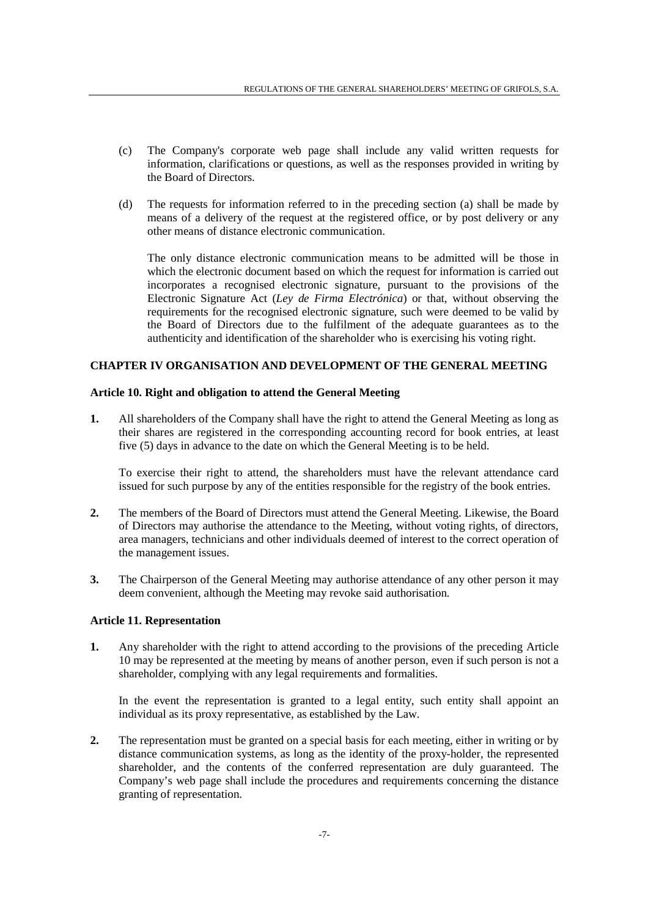- (c) The Company's corporate web page shall include any valid written requests for information, clarifications or questions, as well as the responses provided in writing by the Board of Directors.
- (d) The requests for information referred to in the preceding section (a) shall be made by means of a delivery of the request at the registered office, or by post delivery or any other means of distance electronic communication.

The only distance electronic communication means to be admitted will be those in which the electronic document based on which the request for information is carried out incorporates a recognised electronic signature, pursuant to the provisions of the Electronic Signature Act (*Ley de Firma Electrónica*) or that, without observing the requirements for the recognised electronic signature, such were deemed to be valid by the Board of Directors due to the fulfilment of the adequate guarantees as to the authenticity and identification of the shareholder who is exercising his voting right.

# **CHAPTER IV ORGANISATION AND DEVELOPMENT OF THE GENERAL MEETING**

### **Article 10. Right and obligation to attend the General Meeting**

**1.** All shareholders of the Company shall have the right to attend the General Meeting as long as their shares are registered in the corresponding accounting record for book entries, at least five (5) days in advance to the date on which the General Meeting is to be held.

 To exercise their right to attend, the shareholders must have the relevant attendance card issued for such purpose by any of the entities responsible for the registry of the book entries.

- **2.** The members of the Board of Directors must attend the General Meeting. Likewise, the Board of Directors may authorise the attendance to the Meeting, without voting rights, of directors, area managers, technicians and other individuals deemed of interest to the correct operation of the management issues.
- **3.** The Chairperson of the General Meeting may authorise attendance of any other person it may deem convenient, although the Meeting may revoke said authorisation.

# **Article 11. Representation**

**1.** Any shareholder with the right to attend according to the provisions of the preceding Article 10 may be represented at the meeting by means of another person, even if such person is not a shareholder, complying with any legal requirements and formalities.

In the event the representation is granted to a legal entity, such entity shall appoint an individual as its proxy representative, as established by the Law.

**2.** The representation must be granted on a special basis for each meeting, either in writing or by distance communication systems, as long as the identity of the proxy-holder, the represented shareholder, and the contents of the conferred representation are duly guaranteed. The Company's web page shall include the procedures and requirements concerning the distance granting of representation.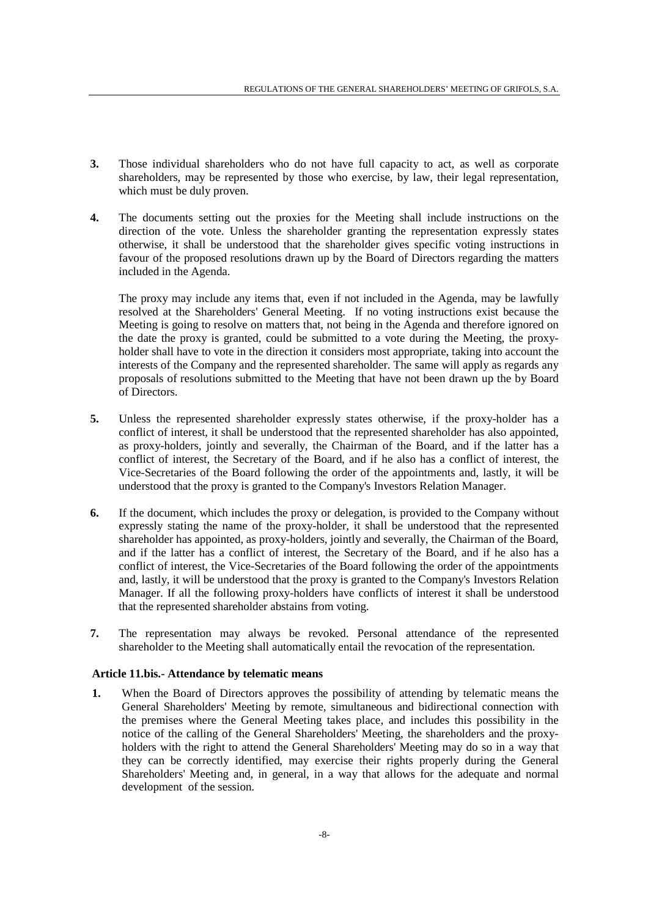- **3.** Those individual shareholders who do not have full capacity to act, as well as corporate shareholders, may be represented by those who exercise, by law, their legal representation, which must be duly proven.
- **4.** The documents setting out the proxies for the Meeting shall include instructions on the direction of the vote. Unless the shareholder granting the representation expressly states otherwise, it shall be understood that the shareholder gives specific voting instructions in favour of the proposed resolutions drawn up by the Board of Directors regarding the matters included in the Agenda.

 The proxy may include any items that, even if not included in the Agenda, may be lawfully resolved at the Shareholders' General Meeting. If no voting instructions exist because the Meeting is going to resolve on matters that, not being in the Agenda and therefore ignored on the date the proxy is granted, could be submitted to a vote during the Meeting, the proxyholder shall have to vote in the direction it considers most appropriate, taking into account the interests of the Company and the represented shareholder. The same will apply as regards any proposals of resolutions submitted to the Meeting that have not been drawn up the by Board of Directors.

- **5.** Unless the represented shareholder expressly states otherwise, if the proxy-holder has a conflict of interest, it shall be understood that the represented shareholder has also appointed, as proxy-holders, jointly and severally, the Chairman of the Board, and if the latter has a conflict of interest, the Secretary of the Board, and if he also has a conflict of interest, the Vice-Secretaries of the Board following the order of the appointments and, lastly, it will be understood that the proxy is granted to the Company's Investors Relation Manager.
- **6.** If the document, which includes the proxy or delegation, is provided to the Company without expressly stating the name of the proxy-holder, it shall be understood that the represented shareholder has appointed, as proxy-holders, jointly and severally, the Chairman of the Board, and if the latter has a conflict of interest, the Secretary of the Board, and if he also has a conflict of interest, the Vice-Secretaries of the Board following the order of the appointments and, lastly, it will be understood that the proxy is granted to the Company's Investors Relation Manager. If all the following proxy-holders have conflicts of interest it shall be understood that the represented shareholder abstains from voting.
- **7.** The representation may always be revoked. Personal attendance of the represented shareholder to the Meeting shall automatically entail the revocation of the representation.

### **Article 11.bis.- Attendance by telematic means**

**1.** When the Board of Directors approves the possibility of attending by telematic means the General Shareholders' Meeting by remote, simultaneous and bidirectional connection with the premises where the General Meeting takes place, and includes this possibility in the notice of the calling of the General Shareholders' Meeting, the shareholders and the proxyholders with the right to attend the General Shareholders' Meeting may do so in a way that they can be correctly identified, may exercise their rights properly during the General Shareholders' Meeting and, in general, in a way that allows for the adequate and normal development of the session.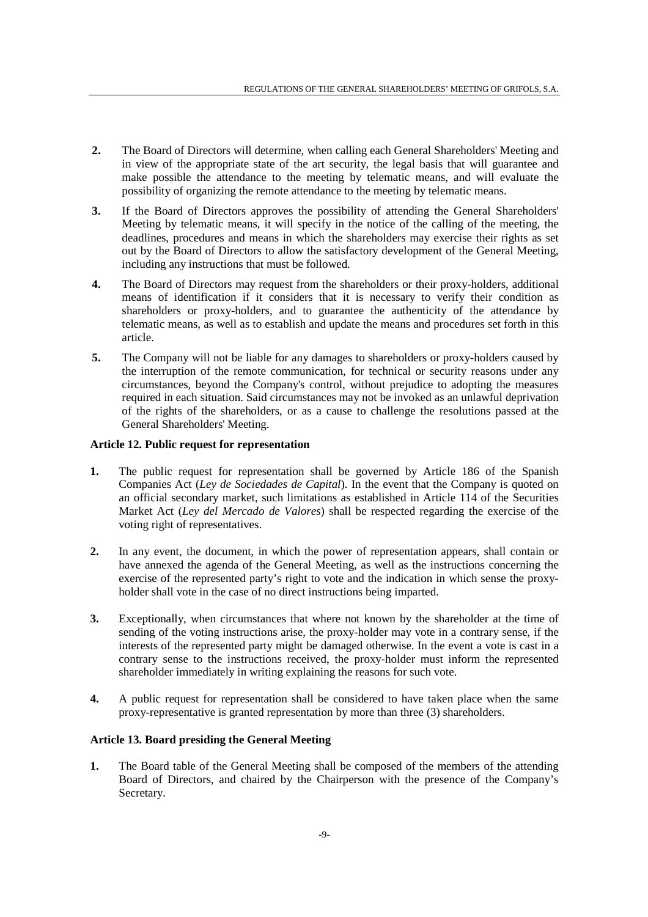- **2.** The Board of Directors will determine, when calling each General Shareholders' Meeting and in view of the appropriate state of the art security, the legal basis that will guarantee and make possible the attendance to the meeting by telematic means, and will evaluate the possibility of organizing the remote attendance to the meeting by telematic means.
- **3.** If the Board of Directors approves the possibility of attending the General Shareholders' Meeting by telematic means, it will specify in the notice of the calling of the meeting, the deadlines, procedures and means in which the shareholders may exercise their rights as set out by the Board of Directors to allow the satisfactory development of the General Meeting, including any instructions that must be followed.
- **4.** The Board of Directors may request from the shareholders or their proxy-holders, additional means of identification if it considers that it is necessary to verify their condition as shareholders or proxy-holders, and to guarantee the authenticity of the attendance by telematic means, as well as to establish and update the means and procedures set forth in this article.
- **5.** The Company will not be liable for any damages to shareholders or proxy-holders caused by the interruption of the remote communication, for technical or security reasons under any circumstances, beyond the Company's control, without prejudice to adopting the measures required in each situation. Said circumstances may not be invoked as an unlawful deprivation of the rights of the shareholders, or as a cause to challenge the resolutions passed at the General Shareholders' Meeting.

### **Article 12. Public request for representation**

- **1.** The public request for representation shall be governed by Article 186 of the Spanish Companies Act (*Ley de Sociedades de Capital*). In the event that the Company is quoted on an official secondary market, such limitations as established in Article 114 of the Securities Market Act (*Ley del Mercado de Valores*) shall be respected regarding the exercise of the voting right of representatives.
- **2.** In any event, the document, in which the power of representation appears, shall contain or have annexed the agenda of the General Meeting, as well as the instructions concerning the exercise of the represented party's right to vote and the indication in which sense the proxyholder shall vote in the case of no direct instructions being imparted.
- **3.** Exceptionally, when circumstances that where not known by the shareholder at the time of sending of the voting instructions arise, the proxy-holder may vote in a contrary sense, if the interests of the represented party might be damaged otherwise. In the event a vote is cast in a contrary sense to the instructions received, the proxy-holder must inform the represented shareholder immediately in writing explaining the reasons for such vote.
- **4.** A public request for representation shall be considered to have taken place when the same proxy-representative is granted representation by more than three (3) shareholders.

### **Article 13. Board presiding the General Meeting**

**1.** The Board table of the General Meeting shall be composed of the members of the attending Board of Directors, and chaired by the Chairperson with the presence of the Company's Secretary.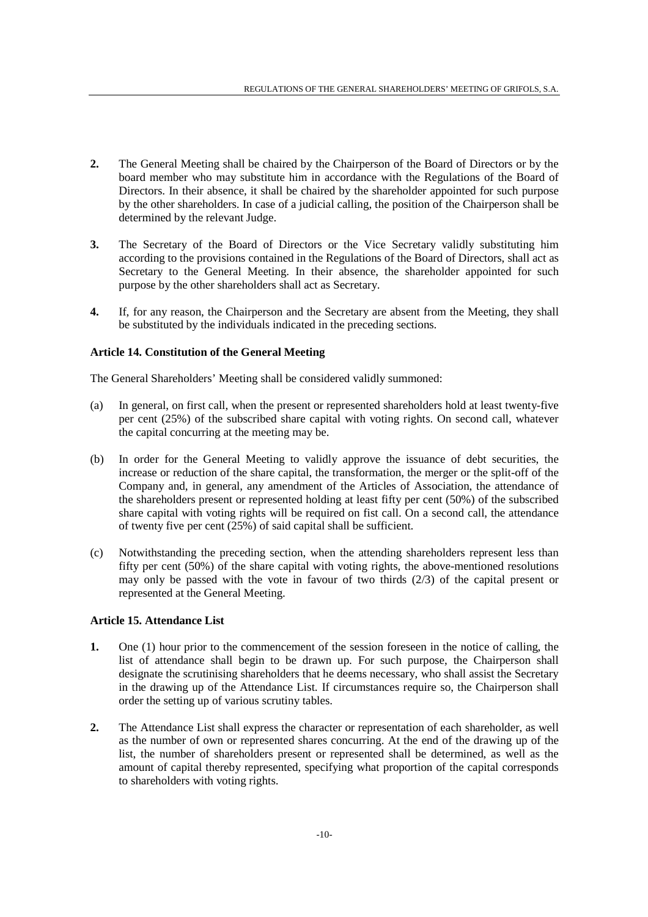- **2.** The General Meeting shall be chaired by the Chairperson of the Board of Directors or by the board member who may substitute him in accordance with the Regulations of the Board of Directors. In their absence, it shall be chaired by the shareholder appointed for such purpose by the other shareholders. In case of a judicial calling, the position of the Chairperson shall be determined by the relevant Judge.
- **3.** The Secretary of the Board of Directors or the Vice Secretary validly substituting him according to the provisions contained in the Regulations of the Board of Directors, shall act as Secretary to the General Meeting. In their absence, the shareholder appointed for such purpose by the other shareholders shall act as Secretary.
- **4.** If, for any reason, the Chairperson and the Secretary are absent from the Meeting, they shall be substituted by the individuals indicated in the preceding sections.

### **Article 14. Constitution of the General Meeting**

The General Shareholders' Meeting shall be considered validly summoned:

- (a) In general, on first call, when the present or represented shareholders hold at least twenty-five per cent (25%) of the subscribed share capital with voting rights. On second call, whatever the capital concurring at the meeting may be.
- (b) In order for the General Meeting to validly approve the issuance of debt securities, the increase or reduction of the share capital, the transformation, the merger or the split-off of the Company and, in general, any amendment of the Articles of Association, the attendance of the shareholders present or represented holding at least fifty per cent (50%) of the subscribed share capital with voting rights will be required on fist call. On a second call, the attendance of twenty five per cent (25%) of said capital shall be sufficient.
- (c) Notwithstanding the preceding section, when the attending shareholders represent less than fifty per cent (50%) of the share capital with voting rights, the above-mentioned resolutions may only be passed with the vote in favour of two thirds (2/3) of the capital present or represented at the General Meeting.

### **Article 15. Attendance List**

- **1.** One (1) hour prior to the commencement of the session foreseen in the notice of calling, the list of attendance shall begin to be drawn up. For such purpose, the Chairperson shall designate the scrutinising shareholders that he deems necessary, who shall assist the Secretary in the drawing up of the Attendance List. If circumstances require so, the Chairperson shall order the setting up of various scrutiny tables.
- **2.** The Attendance List shall express the character or representation of each shareholder, as well as the number of own or represented shares concurring. At the end of the drawing up of the list, the number of shareholders present or represented shall be determined, as well as the amount of capital thereby represented, specifying what proportion of the capital corresponds to shareholders with voting rights.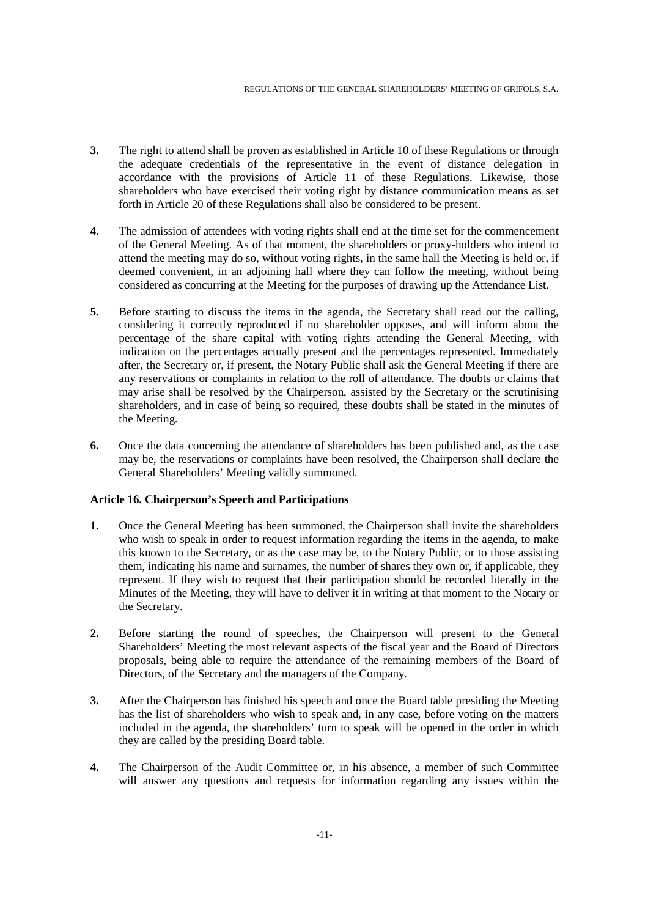- **3.** The right to attend shall be proven as established in Article 10 of these Regulations or through the adequate credentials of the representative in the event of distance delegation in accordance with the provisions of Article 11 of these Regulations. Likewise, those shareholders who have exercised their voting right by distance communication means as set forth in Article 20 of these Regulations shall also be considered to be present.
- **4.** The admission of attendees with voting rights shall end at the time set for the commencement of the General Meeting. As of that moment, the shareholders or proxy-holders who intend to attend the meeting may do so, without voting rights, in the same hall the Meeting is held or, if deemed convenient, in an adjoining hall where they can follow the meeting, without being considered as concurring at the Meeting for the purposes of drawing up the Attendance List.
- **5.** Before starting to discuss the items in the agenda, the Secretary shall read out the calling, considering it correctly reproduced if no shareholder opposes, and will inform about the percentage of the share capital with voting rights attending the General Meeting, with indication on the percentages actually present and the percentages represented. Immediately after, the Secretary or, if present, the Notary Public shall ask the General Meeting if there are any reservations or complaints in relation to the roll of attendance. The doubts or claims that may arise shall be resolved by the Chairperson, assisted by the Secretary or the scrutinising shareholders, and in case of being so required, these doubts shall be stated in the minutes of the Meeting.
- **6.** Once the data concerning the attendance of shareholders has been published and, as the case may be, the reservations or complaints have been resolved, the Chairperson shall declare the General Shareholders' Meeting validly summoned.

### **Article 16. Chairperson's Speech and Participations**

- **1.** Once the General Meeting has been summoned, the Chairperson shall invite the shareholders who wish to speak in order to request information regarding the items in the agenda, to make this known to the Secretary, or as the case may be, to the Notary Public, or to those assisting them, indicating his name and surnames, the number of shares they own or, if applicable, they represent. If they wish to request that their participation should be recorded literally in the Minutes of the Meeting, they will have to deliver it in writing at that moment to the Notary or the Secretary.
- **2.** Before starting the round of speeches, the Chairperson will present to the General Shareholders' Meeting the most relevant aspects of the fiscal year and the Board of Directors proposals, being able to require the attendance of the remaining members of the Board of Directors, of the Secretary and the managers of the Company.
- **3.** After the Chairperson has finished his speech and once the Board table presiding the Meeting has the list of shareholders who wish to speak and, in any case, before voting on the matters included in the agenda, the shareholders' turn to speak will be opened in the order in which they are called by the presiding Board table.
- **4.** The Chairperson of the Audit Committee or, in his absence, a member of such Committee will answer any questions and requests for information regarding any issues within the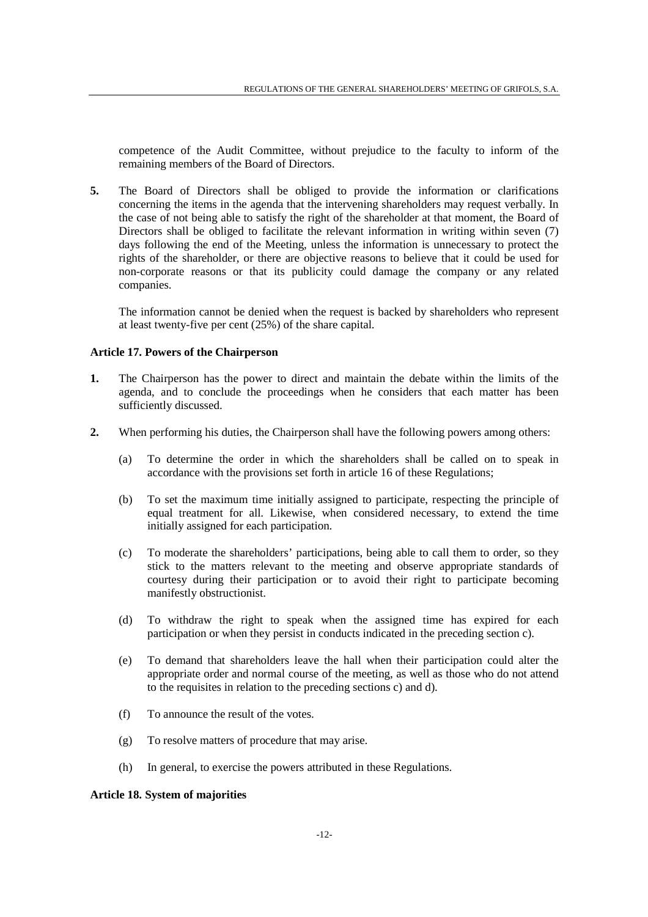competence of the Audit Committee, without prejudice to the faculty to inform of the remaining members of the Board of Directors.

**5.** The Board of Directors shall be obliged to provide the information or clarifications concerning the items in the agenda that the intervening shareholders may request verbally. In the case of not being able to satisfy the right of the shareholder at that moment, the Board of Directors shall be obliged to facilitate the relevant information in writing within seven (7) days following the end of the Meeting, unless the information is unnecessary to protect the rights of the shareholder, or there are objective reasons to believe that it could be used for non-corporate reasons or that its publicity could damage the company or any related companies.

 The information cannot be denied when the request is backed by shareholders who represent at least twenty-five per cent (25%) of the share capital.

### **Article 17. Powers of the Chairperson**

- **1.** The Chairperson has the power to direct and maintain the debate within the limits of the agenda, and to conclude the proceedings when he considers that each matter has been sufficiently discussed.
- **2.** When performing his duties, the Chairperson shall have the following powers among others:
	- (a) To determine the order in which the shareholders shall be called on to speak in accordance with the provisions set forth in article 16 of these Regulations;
	- (b) To set the maximum time initially assigned to participate, respecting the principle of equal treatment for all. Likewise, when considered necessary, to extend the time initially assigned for each participation.
	- (c) To moderate the shareholders' participations, being able to call them to order, so they stick to the matters relevant to the meeting and observe appropriate standards of courtesy during their participation or to avoid their right to participate becoming manifestly obstructionist.
	- (d) To withdraw the right to speak when the assigned time has expired for each participation or when they persist in conducts indicated in the preceding section c).
	- (e) To demand that shareholders leave the hall when their participation could alter the appropriate order and normal course of the meeting, as well as those who do not attend to the requisites in relation to the preceding sections c) and d).
	- (f) To announce the result of the votes.
	- (g) To resolve matters of procedure that may arise.
	- (h) In general, to exercise the powers attributed in these Regulations.

### **Article 18. System of majorities**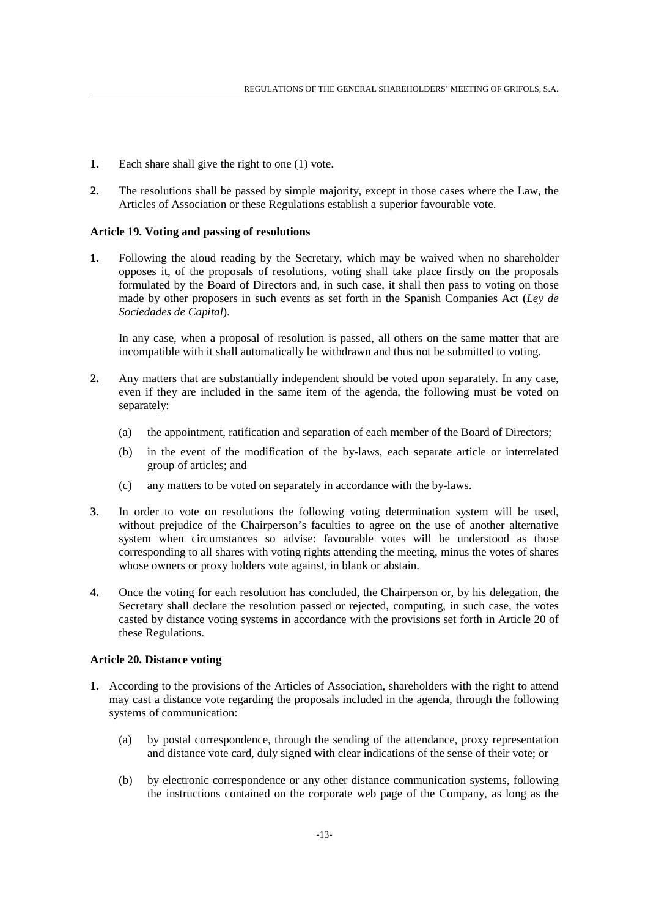- **1.** Each share shall give the right to one (1) vote.
- **2.** The resolutions shall be passed by simple majority, except in those cases where the Law, the Articles of Association or these Regulations establish a superior favourable vote.

### **Article 19. Voting and passing of resolutions**

**1.** Following the aloud reading by the Secretary, which may be waived when no shareholder opposes it, of the proposals of resolutions, voting shall take place firstly on the proposals formulated by the Board of Directors and, in such case, it shall then pass to voting on those made by other proposers in such events as set forth in the Spanish Companies Act (*Ley de Sociedades de Capital*).

 In any case, when a proposal of resolution is passed, all others on the same matter that are incompatible with it shall automatically be withdrawn and thus not be submitted to voting.

- **2.** Any matters that are substantially independent should be voted upon separately. In any case, even if they are included in the same item of the agenda, the following must be voted on separately:
	- (a) the appointment, ratification and separation of each member of the Board of Directors;
	- (b) in the event of the modification of the by-laws, each separate article or interrelated group of articles; and
	- (c) any matters to be voted on separately in accordance with the by-laws.
- **3.** In order to vote on resolutions the following voting determination system will be used, without prejudice of the Chairperson's faculties to agree on the use of another alternative system when circumstances so advise: favourable votes will be understood as those corresponding to all shares with voting rights attending the meeting, minus the votes of shares whose owners or proxy holders vote against, in blank or abstain.
- **4.** Once the voting for each resolution has concluded, the Chairperson or, by his delegation, the Secretary shall declare the resolution passed or rejected, computing, in such case, the votes casted by distance voting systems in accordance with the provisions set forth in Article 20 of these Regulations.

### **Article 20. Distance voting**

- **1.** According to the provisions of the Articles of Association, shareholders with the right to attend may cast a distance vote regarding the proposals included in the agenda, through the following systems of communication:
	- (a) by postal correspondence, through the sending of the attendance, proxy representation and distance vote card, duly signed with clear indications of the sense of their vote; or
	- (b) by electronic correspondence or any other distance communication systems, following the instructions contained on the corporate web page of the Company, as long as the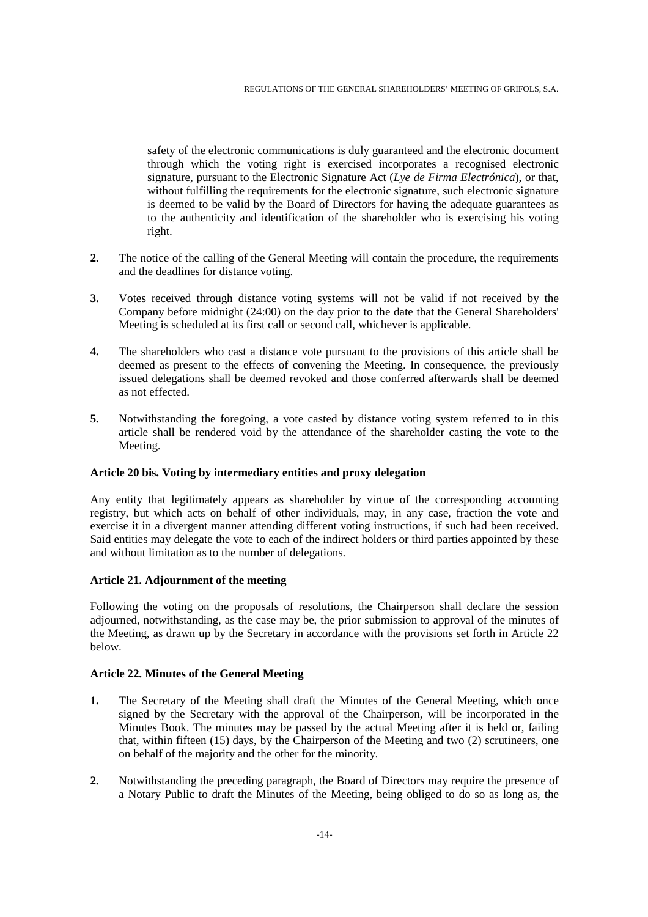safety of the electronic communications is duly guaranteed and the electronic document through which the voting right is exercised incorporates a recognised electronic signature, pursuant to the Electronic Signature Act (*Lye de Firma Electrónica*), or that, without fulfilling the requirements for the electronic signature, such electronic signature is deemed to be valid by the Board of Directors for having the adequate guarantees as to the authenticity and identification of the shareholder who is exercising his voting right.

- **2.** The notice of the calling of the General Meeting will contain the procedure, the requirements and the deadlines for distance voting.
- **3.** Votes received through distance voting systems will not be valid if not received by the Company before midnight (24:00) on the day prior to the date that the General Shareholders' Meeting is scheduled at its first call or second call, whichever is applicable.
- **4.** The shareholders who cast a distance vote pursuant to the provisions of this article shall be deemed as present to the effects of convening the Meeting. In consequence, the previously issued delegations shall be deemed revoked and those conferred afterwards shall be deemed as not effected.
- **5.** Notwithstanding the foregoing, a vote casted by distance voting system referred to in this article shall be rendered void by the attendance of the shareholder casting the vote to the Meeting.

### **Article 20 bis. Voting by intermediary entities and proxy delegation**

Any entity that legitimately appears as shareholder by virtue of the corresponding accounting registry, but which acts on behalf of other individuals, may, in any case, fraction the vote and exercise it in a divergent manner attending different voting instructions, if such had been received. Said entities may delegate the vote to each of the indirect holders or third parties appointed by these and without limitation as to the number of delegations.

### **Article 21. Adjournment of the meeting**

Following the voting on the proposals of resolutions, the Chairperson shall declare the session adjourned, notwithstanding, as the case may be, the prior submission to approval of the minutes of the Meeting, as drawn up by the Secretary in accordance with the provisions set forth in Article 22 below.

# **Article 22. Minutes of the General Meeting**

- **1.** The Secretary of the Meeting shall draft the Minutes of the General Meeting, which once signed by the Secretary with the approval of the Chairperson, will be incorporated in the Minutes Book. The minutes may be passed by the actual Meeting after it is held or, failing that, within fifteen (15) days, by the Chairperson of the Meeting and two (2) scrutineers, one on behalf of the majority and the other for the minority.
- **2.** Notwithstanding the preceding paragraph, the Board of Directors may require the presence of a Notary Public to draft the Minutes of the Meeting, being obliged to do so as long as, the